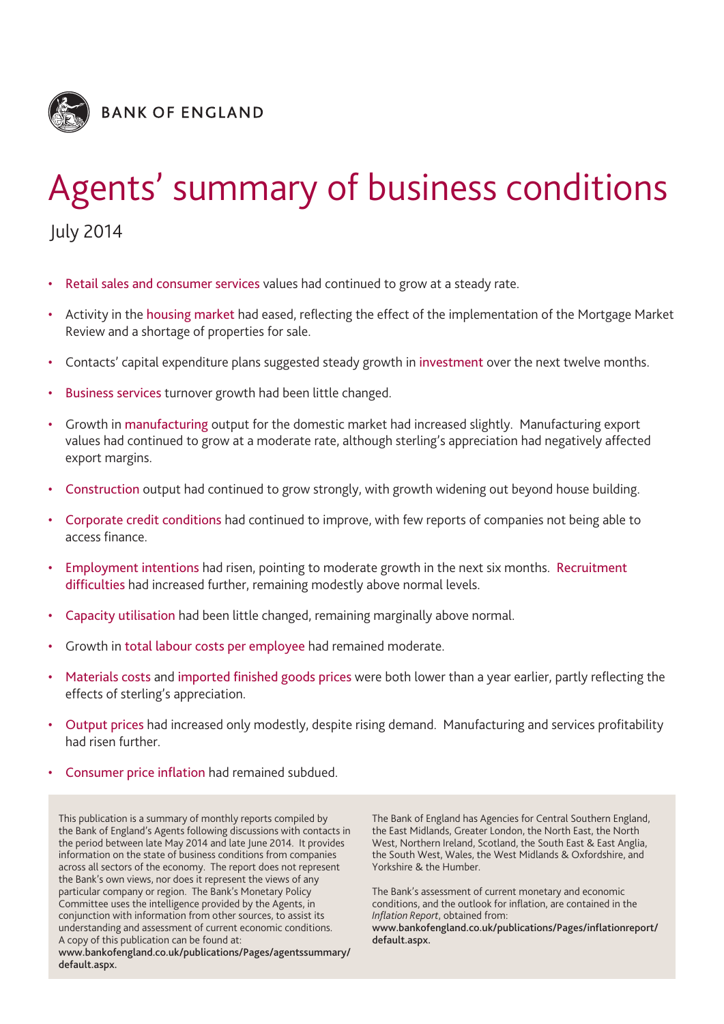

# Agents' summary of business conditions

July 2014

- Retail sales and consumer services values had continued to grow at a steady rate.
- Activity in the housing market had eased, reflecting the effect of the implementation of the Mortgage Market Review and a shortage of properties for sale.
- Contacts' capital expenditure plans suggested steady growth in investment over the next twelve months.
- Business services turnover growth had been little changed.
- Growth in manufacturing output for the domestic market had increased slightly. Manufacturing export values had continued to grow at a moderate rate, although sterling's appreciation had negatively affected export margins.
- Construction output had continued to grow strongly, with growth widening out beyond house building.
- Corporate credit conditions had continued to improve, with few reports of companies not being able to access finance.
- Employment intentions had risen, pointing to moderate growth in the next six months. Recruitment difficulties had increased further, remaining modestly above normal levels.
- Capacity utilisation had been little changed, remaining marginally above normal.
- Growth in total labour costs per employee had remained moderate.
- Materials costs and imported finished goods prices were both lower than a year earlier, partly reflecting the effects of sterling's appreciation.
- Output prices had increased only modestly, despite rising demand. Manufacturing and services profitability had risen further.
- Consumer price inflation had remained subdued.

This publication is a summary of monthly reports compiled by the Bank of England's Agents following discussions with contacts in the period between late May 2014 and late June 2014. It provides information on the state of business conditions from companies across all sectors of the economy. The report does not represent the Bank's own views, nor does it represent the views of any particular company or region. The Bank's Monetary Policy Committee uses the intelligence provided by the Agents, in conjunction with information from other sources, to assist its understanding and assessment of current economic conditions. A copy of this publication can be found at:

**www.bankofengland.co.uk/publications/Pages/agentssummary/ default.aspx.**

The Bank of England has Agencies for Central Southern England, the East Midlands, Greater London, the North East, the North West, Northern Ireland, Scotland, the South East & East Anglia, the South West, Wales, the West Midlands & Oxfordshire, and Yorkshire & the Humber.

The Bank's assessment of current monetary and economic conditions, and the outlook for inflation, are contained in the *Inflation Report*, obtained from:

**[www.bankofengland.co.uk/publications/Pages/inflationreport/](www.bankofengland.co.uk/publications/Pages/inflationreport/default.aspx) default.aspx.**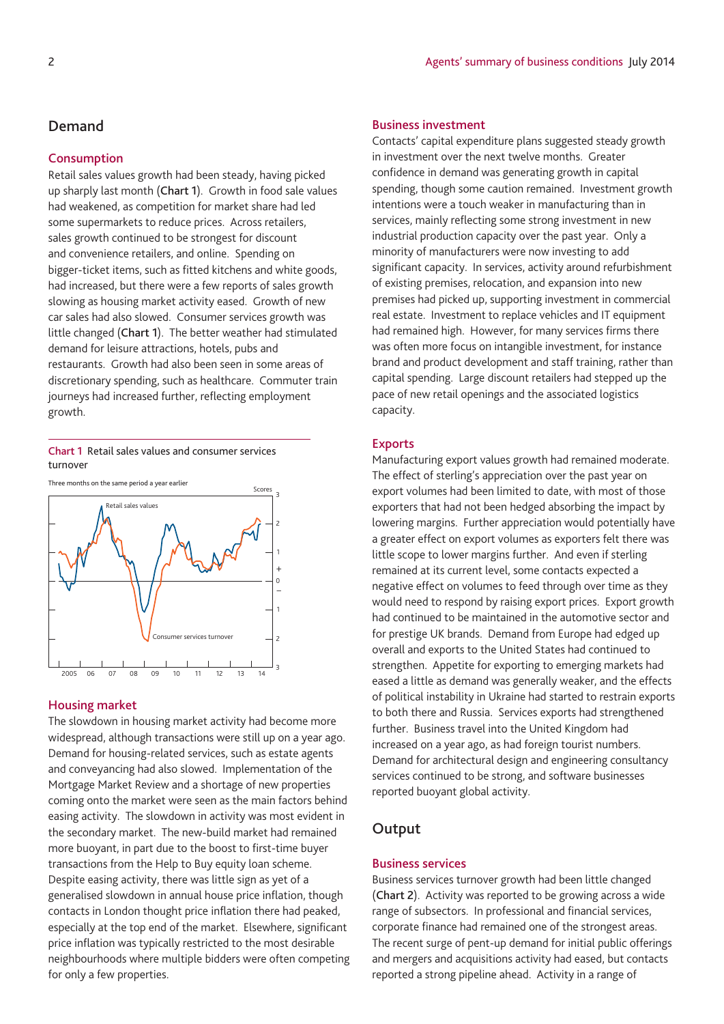# **Demand**

#### **Consumption**

Retail sales values growth had been steady, having picked up sharply last month (**Chart 1**). Growth in food sale values had weakened, as competition for market share had led some supermarkets to reduce prices. Across retailers, sales growth continued to be strongest for discount and convenience retailers, and online. Spending on bigger-ticket items, such as fitted kitchens and white goods, had increased, but there were a few reports of sales growth slowing as housing market activity eased. Growth of new car sales had also slowed. Consumer services growth was little changed (**Chart 1**). The better weather had stimulated demand for leisure attractions, hotels, pubs and restaurants. Growth had also been seen in some areas of discretionary spending, such as healthcare. Commuter train journeys had increased further, reflecting employment growth.

#### **Chart 1** Retail sales values and consumer services turnover

Three months on the same period a year earlier



#### **Housing market**

The slowdown in housing market activity had become more widespread, although transactions were still up on a year ago. Demand for housing-related services, such as estate agents and conveyancing had also slowed. Implementation of the Mortgage Market Review and a shortage of new properties coming onto the market were seen as the main factors behind easing activity. The slowdown in activity was most evident in the secondary market. The new-build market had remained more buoyant, in part due to the boost to first-time buyer transactions from the Help to Buy equity loan scheme. Despite easing activity, there was little sign as yet of a generalised slowdown in annual house price inflation, though contacts in London thought price inflation there had peaked, especially at the top end of the market. Elsewhere, significant price inflation was typically restricted to the most desirable neighbourhoods where multiple bidders were often competing for only a few properties.

#### **Business investment**

Contacts' capital expenditure plans suggested steady growth in investment over the next twelve months. Greater confidence in demand was generating growth in capital spending, though some caution remained. Investment growth intentions were a touch weaker in manufacturing than in services, mainly reflecting some strong investment in new industrial production capacity over the past year. Only a minority of manufacturers were now investing to add significant capacity. In services, activity around refurbishment of existing premises, relocation, and expansion into new premises had picked up, supporting investment in commercial real estate. Investment to replace vehicles and IT equipment had remained high. However, for many services firms there was often more focus on intangible investment, for instance brand and product development and staff training, rather than capital spending. Large discount retailers had stepped up the pace of new retail openings and the associated logistics capacity.

#### **Exports**

Manufacturing export values growth had remained moderate. The effect of sterling's appreciation over the past year on export volumes had been limited to date, with most of those exporters that had not been hedged absorbing the impact by lowering margins. Further appreciation would potentially have a greater effect on export volumes as exporters felt there was little scope to lower margins further. And even if sterling remained at its current level, some contacts expected a negative effect on volumes to feed through over time as they would need to respond by raising export prices. Export growth had continued to be maintained in the automotive sector and for prestige UK brands. Demand from Europe had edged up overall and exports to the United States had continued to strengthen. Appetite for exporting to emerging markets had eased a little as demand was generally weaker, and the effects of political instability in Ukraine had started to restrain exports to both there and Russia. Services exports had strengthened further. Business travel into the United Kingdom had increased on a year ago, as had foreign tourist numbers. Demand for architectural design and engineering consultancy services continued to be strong, and software businesses reported buoyant global activity.

# **Output**

#### **Business services**

Business services turnover growth had been little changed (**Chart 2**). Activity was reported to be growing across a wide range of subsectors. In professional and financial services, corporate finance had remained one of the strongest areas. The recent surge of pent-up demand for initial public offerings and mergers and acquisitions activity had eased, but contacts reported a strong pipeline ahead. Activity in a range of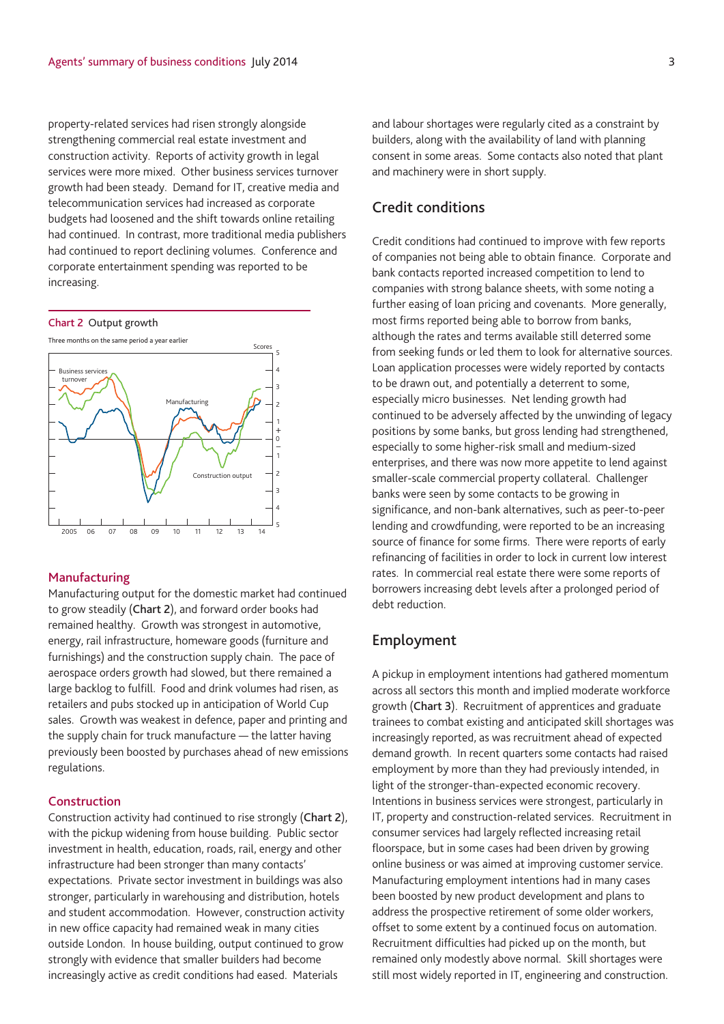property-related services had risen strongly alongside strengthening commercial real estate investment and construction activity. Reports of activity growth in legal services were more mixed. Other business services turnover growth had been steady. Demand for IT, creative media and telecommunication services had increased as corporate budgets had loosened and the shift towards online retailing had continued. In contrast, more traditional media publishers had continued to report declining volumes. Conference and corporate entertainment spending was reported to be increasing.





#### **Manufacturing**

Manufacturing output for the domestic market had continued to grow steadily (**Chart 2**), and forward order books had remained healthy. Growth was strongest in automotive, energy, rail infrastructure, homeware goods (furniture and furnishings) and the construction supply chain. The pace of aerospace orders growth had slowed, but there remained a large backlog to fulfill. Food and drink volumes had risen, as retailers and pubs stocked up in anticipation of World Cup sales. Growth was weakest in defence, paper and printing and the supply chain for truck manufacture — the latter having previously been boosted by purchases ahead of new emissions regulations.

#### **Construction**

Construction activity had continued to rise strongly (**Chart 2**), with the pickup widening from house building. Public sector investment in health, education, roads, rail, energy and other infrastructure had been stronger than many contacts' expectations. Private sector investment in buildings was also stronger, particularly in warehousing and distribution, hotels and student accommodation. However, construction activity in new office capacity had remained weak in many cities outside London. In house building, output continued to grow strongly with evidence that smaller builders had become increasingly active as credit conditions had eased. Materials

and labour shortages were regularly cited as a constraint by builders, along with the availability of land with planning consent in some areas. Some contacts also noted that plant and machinery were in short supply.

# **Credit conditions**

Credit conditions had continued to improve with few reports of companies not being able to obtain finance. Corporate and bank contacts reported increased competition to lend to companies with strong balance sheets, with some noting a further easing of loan pricing and covenants. More generally, most firms reported being able to borrow from banks, although the rates and terms available still deterred some from seeking funds or led them to look for alternative sources. Loan application processes were widely reported by contacts to be drawn out, and potentially a deterrent to some, especially micro businesses. Net lending growth had continued to be adversely affected by the unwinding of legacy positions by some banks, but gross lending had strengthened, especially to some higher-risk small and medium-sized enterprises, and there was now more appetite to lend against smaller-scale commercial property collateral. Challenger banks were seen by some contacts to be growing in significance, and non-bank alternatives, such as peer-to-peer lending and crowdfunding, were reported to be an increasing source of finance for some firms. There were reports of early refinancing of facilities in order to lock in current low interest rates. In commercial real estate there were some reports of borrowers increasing debt levels after a prolonged period of debt reduction.

# **Employment**

A pickup in employment intentions had gathered momentum across all sectors this month and implied moderate workforce growth (**Chart 3**). Recruitment of apprentices and graduate trainees to combat existing and anticipated skill shortages was increasingly reported, as was recruitment ahead of expected demand growth. In recent quarters some contacts had raised employment by more than they had previously intended, in light of the stronger-than-expected economic recovery. Intentions in business services were strongest, particularly in IT, property and construction-related services. Recruitment in consumer services had largely reflected increasing retail floorspace, but in some cases had been driven by growing online business or was aimed at improving customer service. Manufacturing employment intentions had in many cases been boosted by new product development and plans to address the prospective retirement of some older workers, offset to some extent by a continued focus on automation. Recruitment difficulties had picked up on the month, but remained only modestly above normal. Skill shortages were still most widely reported in IT, engineering and construction.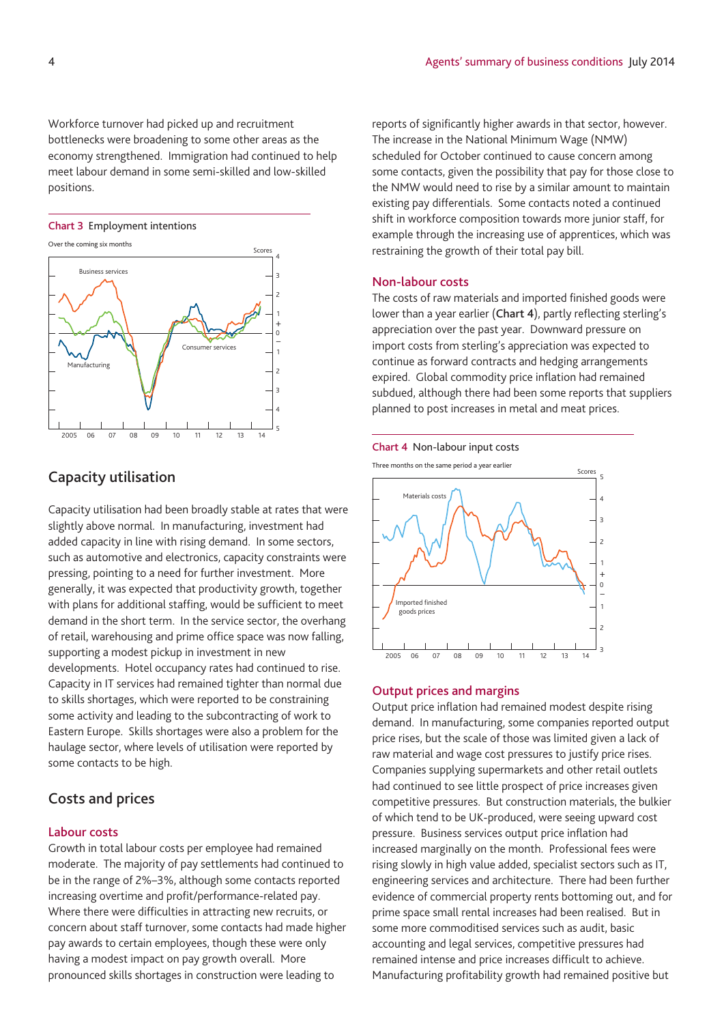Workforce turnover had picked up and recruitment bottlenecks were broadening to some other areas as the economy strengthened. Immigration had continued to help meet labour demand in some semi-skilled and low-skilled positions.



# **Capacity utilisation**

Capacity utilisation had been broadly stable at rates that were slightly above normal. In manufacturing, investment had added capacity in line with rising demand. In some sectors, such as automotive and electronics, capacity constraints were pressing, pointing to a need for further investment. More generally, it was expected that productivity growth, together with plans for additional staffing, would be sufficient to meet demand in the short term. In the service sector, the overhang of retail, warehousing and prime office space was now falling, supporting a modest pickup in investment in new developments. Hotel occupancy rates had continued to rise. Capacity in IT services had remained tighter than normal due to skills shortages, which were reported to be constraining some activity and leading to the subcontracting of work to Eastern Europe. Skills shortages were also a problem for the haulage sector, where levels of utilisation were reported by some contacts to be high.

# **Costs and prices**

## **Labour costs**

Growth in total labour costs per employee had remained moderate. The majority of pay settlements had continued to be in the range of 2%–3%, although some contacts reported increasing overtime and profit/performance-related pay. Where there were difficulties in attracting new recruits, or concern about staff turnover, some contacts had made higher pay awards to certain employees, though these were only having a modest impact on pay growth overall. More pronounced skills shortages in construction were leading to

reports of significantly higher awards in that sector, however. The increase in the National Minimum Wage (NMW) scheduled for October continued to cause concern among some contacts, given the possibility that pay for those close to the NMW would need to rise by a similar amount to maintain existing pay differentials. Some contacts noted a continued shift in workforce composition towards more junior staff, for example through the increasing use of apprentices, which was restraining the growth of their total pay bill.

#### **Non-labour costs**

The costs of raw materials and imported finished goods were lower than a year earlier (**Chart 4**), partly reflecting sterling's appreciation over the past year. Downward pressure on import costs from sterling's appreciation was expected to continue as forward contracts and hedging arrangements expired. Global commodity price inflation had remained subdued, although there had been some reports that suppliers planned to post increases in metal and meat prices.





#### **Output prices and margins**

Output price inflation had remained modest despite rising demand. In manufacturing, some companies reported output price rises, but the scale of those was limited given a lack of raw material and wage cost pressures to justify price rises. Companies supplying supermarkets and other retail outlets had continued to see little prospect of price increases given competitive pressures. But construction materials, the bulkier of which tend to be UK-produced, were seeing upward cost pressure. Business services output price inflation had increased marginally on the month. Professional fees were rising slowly in high value added, specialist sectors such as IT, engineering services and architecture. There had been further evidence of commercial property rents bottoming out, and for prime space small rental increases had been realised. But in some more commoditised services such as audit, basic accounting and legal services, competitive pressures had remained intense and price increases difficult to achieve. Manufacturing profitability growth had remained positive but